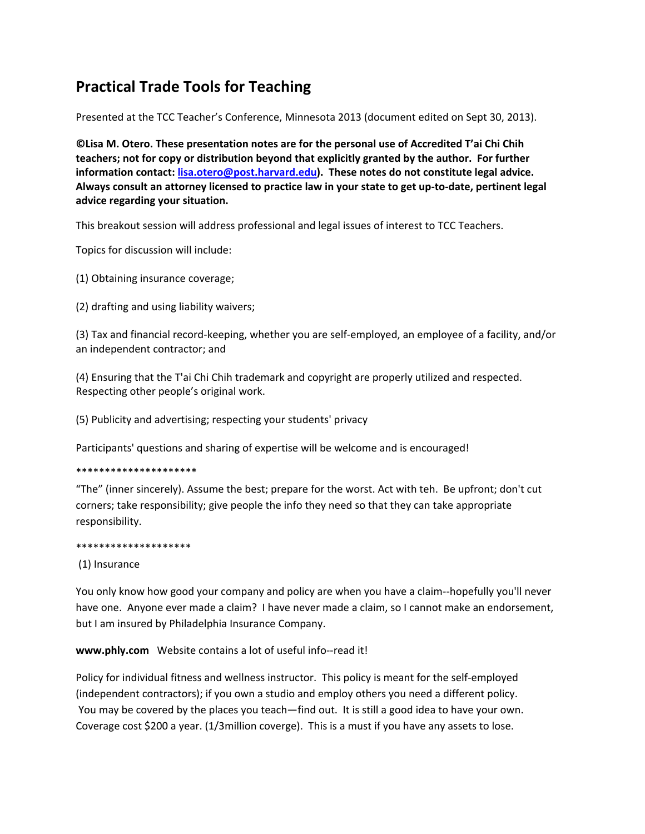## **Practical Trade Tools for Teaching**

Presented at the TCC Teacher's Conference, Minnesota 2013 (document edited on Sept 30, 2013).

©Lisa M. Otero. These presentation notes are for the personal use of Accredited T'ai Chi Chih teachers; not for copy or distribution beyond that explicitly granted by the author. For further information contact: **lisa.otero@post.harvard.edu**). These notes do not constitute legal advice. Always consult an attorney licensed to practice law in your state to get up-to-date, pertinent legal advice regarding your situation.

This breakout session will address professional and legal issues of interest to TCC Teachers.

Topics for discussion will include:

(1) Obtaining insurance coverage;

(2) drafting and using liability waivers;

(3) Tax and financial record-keeping, whether you are self-employed, an employee of a facility, and/or an independent contractor; and

(4) Ensuring that the T'ai Chi Chih trademark and copyright are properly utilized and respected. Respecting other people's original work.

(5) Publicity and advertising; respecting your students' privacy

Participants' questions and sharing of expertise will be welcome and is encouraged!

\*\*\*\*\*\*\*\*\*\*\*\*\*\*\*\*\*\*\*\*\*

"The" (inner sincerely). Assume the best; prepare for the worst. Act with teh. Be upfront; don't cut corners; take responsibility; give people the info they need so that they can take appropriate responsibility.

## \*\*\*\*\*\*\*\*\*\*\*\*\*\*\*\*\*\*\*\*

## (1) Insurance

You only know how good your company and policy are when you have a claim--hopefully you'll never have one. Anyone ever made a claim? I have never made a claim, so I cannot make an endorsement, but I am insured by Philadelphia Insurance Company.

www.phly.com Website contains a lot of useful info--read it!

Policy for individual fitness and wellness instructor. This policy is meant for the self-employed (independent contractors); if you own a studio and employ others you need a different policy. You may be covered by the places you teach—find out. It is still a good idea to have your own. Coverage cost \$200 a year. (1/3million coverge). This is a must if you have any assets to lose.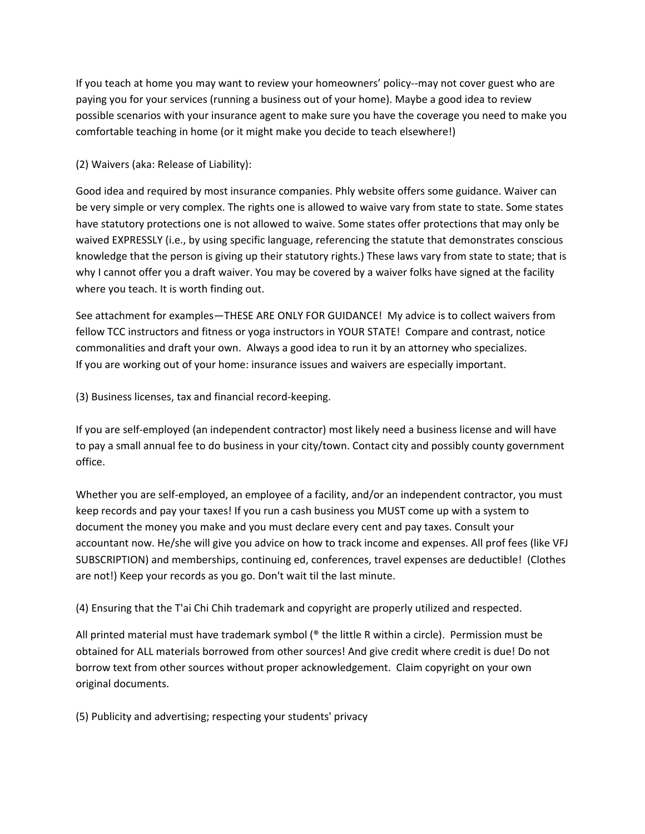If you teach at home you may want to review your homeowners' policy--may not cover guest who are paying you for your services (running a business out of your home). Maybe a good idea to review possible scenarios with your insurance agent to make sure you have the coverage you need to make you comfortable teaching in home (or it might make you decide to teach elsewhere!)

(2) Waivers (aka: Release of Liability):

Good idea and required by most insurance companies. Phly website offers some guidance. Waiver can be very simple or very complex. The rights one is allowed to waive vary from state to state. Some states have statutory protections one is not allowed to waive. Some states offer protections that may only be waived EXPRESSLY (i.e., by using specific language, referencing the statute that demonstrates conscious knowledge that the person is giving up their statutory rights.) These laws vary from state to state; that is why I cannot offer you a draft waiver. You may be covered by a waiver folks have signed at the facility where you teach. It is worth finding out.

See attachment for examples—THESE ARE ONLY FOR GUIDANCE! My advice is to collect waivers from fellow TCC instructors and fitness or yoga instructors in YOUR STATE! Compare and contrast, notice commonalities and draft your own. Always a good idea to run it by an attorney who specializes. If you are working out of your home: insurance issues and waivers are especially important.

(3) Business licenses, tax and financial record-keeping.

If you are self-employed (an independent contractor) most likely need a business license and will have to pay a small annual fee to do business in your city/town. Contact city and possibly county government office.

Whether you are self-employed, an employee of a facility, and/or an independent contractor, you must keep records and pay your taxes! If you run a cash business you MUST come up with a system to document the money you make and you must declare every cent and pay taxes. Consult your accountant now. He/she will give you advice on how to track income and expenses. All prof fees (like VFJ) SUBSCRIPTION) and memberships, continuing ed, conferences, travel expenses are deductible! (Clothes are not!) Keep your records as you go. Don't wait til the last minute.

(4) Ensuring that the T'ai Chi Chih trademark and copyright are properly utilized and respected.

All printed material must have trademark symbol ( $\degree$  the little R within a circle). Permission must be obtained for ALL materials borrowed from other sources! And give credit where credit is due! Do not borrow text from other sources without proper acknowledgement. Claim copyright on your own original documents.

(5) Publicity and advertising; respecting your students' privacy